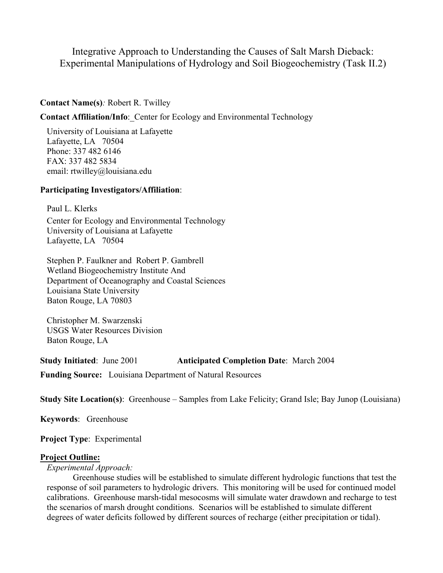# Integrative Approach to Understanding the Causes of Salt Marsh Dieback: Experimental Manipulations of Hydrology and Soil Biogeochemistry (Task II.2)

### **Contact Name(s)***:* Robert R. Twilley

**Contact Affiliation/Info**:\_Center for Ecology and Environmental Technology

University of Louisiana at Lafayette Lafayette, LA 70504 Phone: 337 482 6146 FAX: 337 482 5834 email: rtwilley@louisiana.edu

### **Participating Investigators/Affiliation**:

Paul L. Klerks Center for Ecology and Environmental Technology University of Louisiana at Lafayette Lafayette, LA 70504

Stephen P. Faulkner and Robert P. Gambrell Wetland Biogeochemistry Institute And Department of Oceanography and Coastal Sciences Louisiana State University Baton Rouge, LA 70803

Christopher M. Swarzenski USGS Water Resources Division Baton Rouge, LA

**Study Initiated**: June 2001 **Anticipated Completion Date**: March 2004

**Funding Source:** Louisiana Department of Natural Resources

**Study Site Location(s)**: Greenhouse – Samples from Lake Felicity; Grand Isle; Bay Junop (Louisiana)

**Keywords**: Greenhouse

**Project Type**: Experimental

### **Project Outline:**

*Experimental Approach:* 

Greenhouse studies will be established to simulate different hydrologic functions that test the response of soil parameters to hydrologic drivers. This monitoring will be used for continued model calibrations. Greenhouse marsh-tidal mesocosms will simulate water drawdown and recharge to test the scenarios of marsh drought conditions. Scenarios will be established to simulate different degrees of water deficits followed by different sources of recharge (either precipitation or tidal).